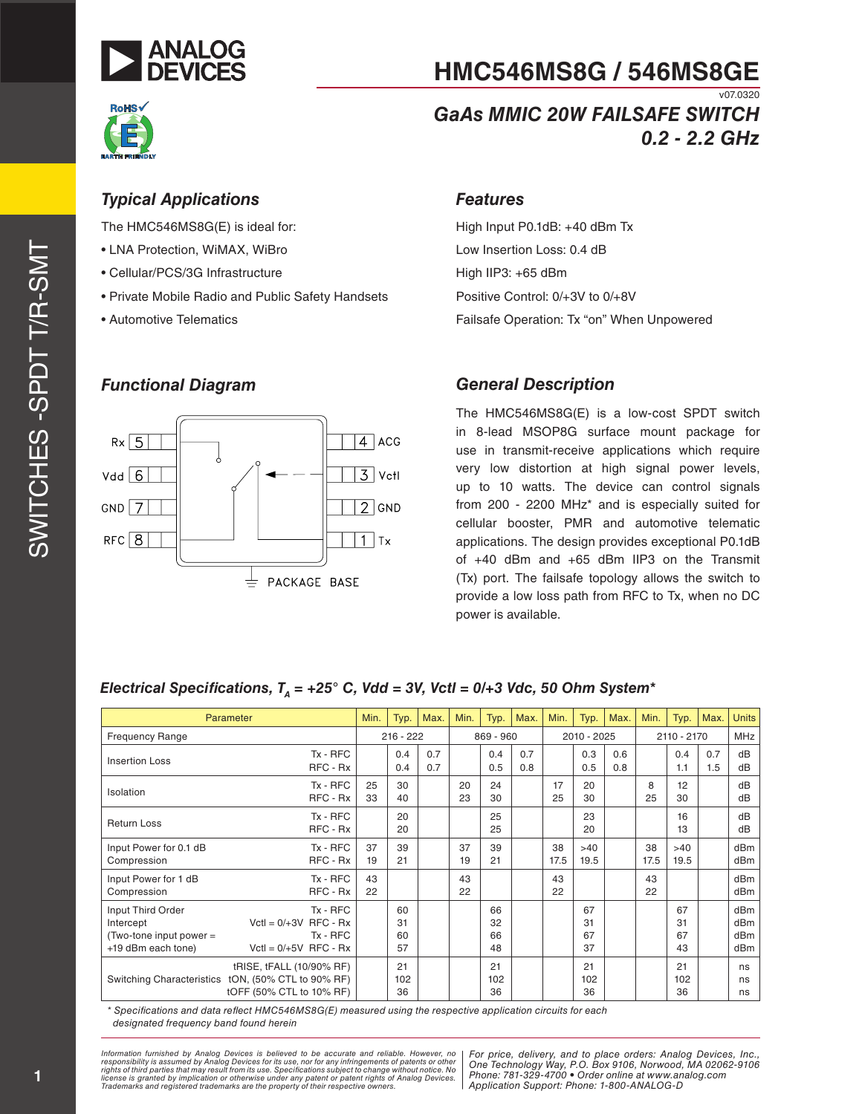



#### v07.0320 *GaAs MMIC 20W FAILSAFE SWITCH 0.2 - 2.2 GHz*

#### *Typical Applications*

The HMC546MS8G(E) is ideal for:

- LNA Protection, WiMAX, WiBro
- Cellular/PCS/3G Infrastructure
- Private Mobile Radio and Public Safety Handsets
- Automotive Telematics

#### *Functional Diagram*



### *Features*

High Input P0.1dB: +40 dBm Tx Low Insertion Loss: 0.4 dB High IIP3: +65 dBm Positive Control: 0/+3V to 0/+8V Failsafe Operation: Tx "on" When Unpowered

#### *General Description*

The HMC546MS8G(E) is a low-cost SPDT switch in 8-lead MSOP8G surface mount package for use in transmit-receive applications which require very low distortion at high signal power levels, up to 10 watts. The device can control signals from 200 - 2200 MHz\* and is especially suited for cellular booster, PMR and automotive telematic applications. The design provides exceptional P0.1dB of +40 dBm and +65 dBm IIP3 on the Transmit (Tx) port. The failsafe topology allows the switch to provide a low loss path from RFC to Tx, when no DC power is available.

#### *Electrical Specifications, T<sub>A</sub> = +25° C, Vdd = 3V, Vctl = 0/+3 Vdc, 50 Ohm System\**

|                                                                                 | Parameter                                                                                                  | Min.     | Typ.                 | Max.       | Min.     | Typ.                 | Max.       | Min.       | Typ.                 | Max.       | Min.       | Typ.                 | Max.       | <b>Units</b>             |
|---------------------------------------------------------------------------------|------------------------------------------------------------------------------------------------------------|----------|----------------------|------------|----------|----------------------|------------|------------|----------------------|------------|------------|----------------------|------------|--------------------------|
| <b>Frequency Range</b>                                                          |                                                                                                            |          | $216 - 222$          |            |          | 869 - 960            |            |            | 2010 - 2025          |            |            | 2110 - 2170          |            | <b>MHz</b>               |
| Insertion Loss                                                                  | $Tx - RFC$<br>RFC - Rx                                                                                     |          | 0.4<br>0.4           | 0.7<br>0.7 |          | 0.4<br>0.5           | 0.7<br>0.8 |            | 0.3<br>0.5           | 0.6<br>0.8 |            | 0.4<br>1.1           | 0.7<br>1.5 | dB<br>dB                 |
| Isolation                                                                       | $Tx - RFC$<br>RFC - Rx                                                                                     | 25<br>33 | 30<br>40             |            | 20<br>23 | 24<br>30             |            | 17<br>25   | 20<br>30             |            | 8<br>25    | 12<br>30             |            | dB<br>dB                 |
| <b>Return Loss</b>                                                              | $Tx - RFC$<br>RFC - Rx                                                                                     |          | 20<br>20             |            |          | 25<br>25             |            |            | 23<br>20             |            |            | 16<br>13             |            | dB<br>dB                 |
| Input Power for 0.1 dB<br>Compression                                           | Tx - RFC<br>RFC - Rx                                                                                       | 37<br>19 | 39<br>21             |            | 37<br>19 | 39<br>21             |            | 38<br>17.5 | >40<br>19.5          |            | 38<br>17.5 | >40<br>19.5          |            | dBm<br>dB <sub>m</sub>   |
| Input Power for 1 dB<br>Compression                                             | Tx - RFC<br>RFC - Rx                                                                                       | 43<br>22 |                      |            | 43<br>22 |                      |            | 43<br>22   |                      |            | 43<br>22   |                      |            | dBm<br>dBm               |
| Input Third Order<br>Intercept<br>(Two-tone input power =<br>+19 dBm each tone) | $Tx - RFC$<br>$Vert = 0/+3V$ RFC - Rx<br>Tx - RFC<br>$Vert = 0/+5V$ RFC - Rx                               |          | 60<br>31<br>60<br>57 |            |          | 66<br>32<br>66<br>48 |            |            | 67<br>31<br>67<br>37 |            |            | 67<br>31<br>67<br>43 |            | dBm<br>dBm<br>dBm<br>dBm |
|                                                                                 | tRISE, tFALL (10/90% RF)<br>Switching Characteristics tON, (50% CTL to 90% RF)<br>tOFF (50% CTL to 10% RF) |          | 21<br>102<br>36      |            |          | 21<br>102<br>36      |            |            | 21<br>102<br>36      |            |            | 21<br>102<br>36      |            | ns<br>ns<br>ns           |

*\* Specifications and data reflect HMC546MS8G(E) measured using the respective application circuits for each designated frequency band found herein*

*formation furnished by Analog Devices is believed to be accurate and reliable. However, no | For price, delivery, and to place orders: Analog Devices, Inc.* ase, nor for any immigements of patents of other<br>ecifications subject to change without notice. No and a second and a second and a license is granted by implication or otherwise under any patent or patent rights of Analog Devices. [PHOHE: 761-329-41<br>Trademarks and registered trademarks are the property of their respective owners. [Application Suppo Information furnished by Analog Devices is believed to be accurate and reliable. However, no<br>responsibility is assumed by Analog Devices for its use, nor for any infringements of patents or other<br>rights of third parties th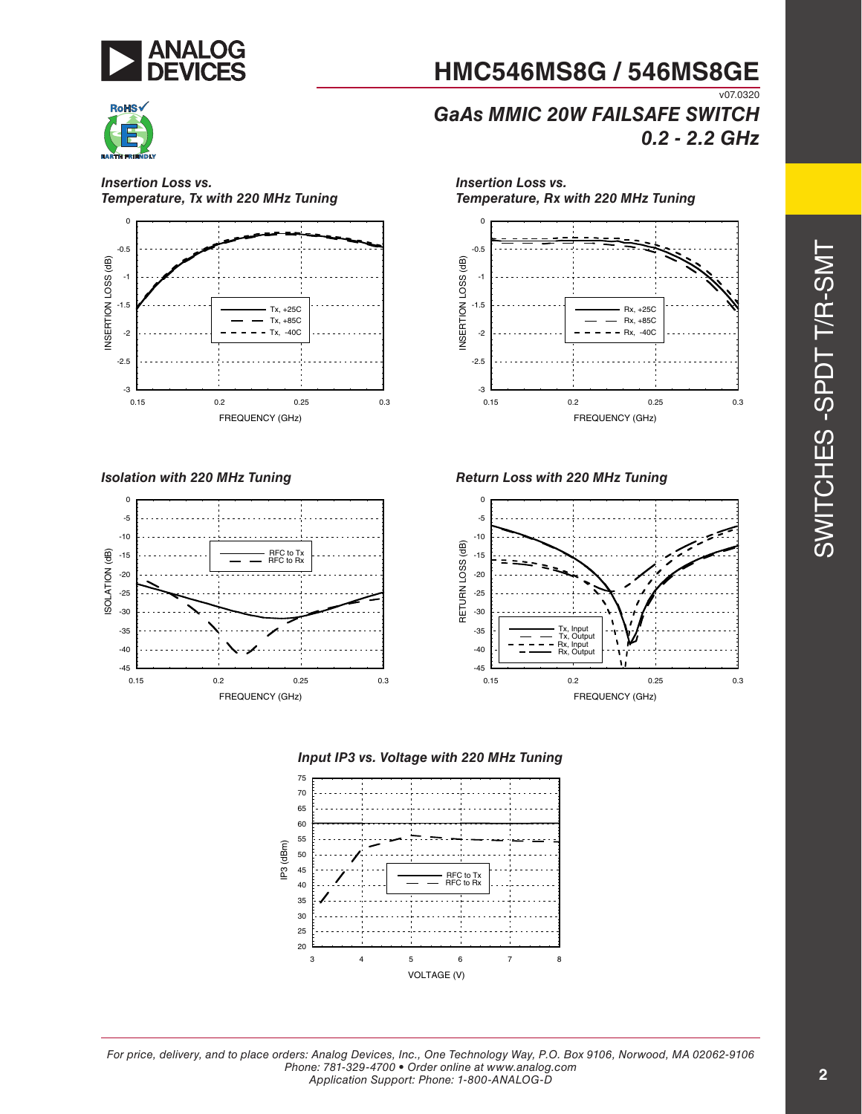



*Insertion Loss vs. Temperature, Tx with 220 MHz Tuning*



*Isolation with 220 MHz Tuning*



-0.5 0 *Insertion Loss vs. Temperature, Rx with 220 MHz Tuning*

**HMC546MS8G / 546MS8GE**

*GaAs MMIC 20W FAILSAFE SWITCH*



*Return Loss with 220 MHz Tuning*







v07.0320

*0.2 - 2.2 GHz*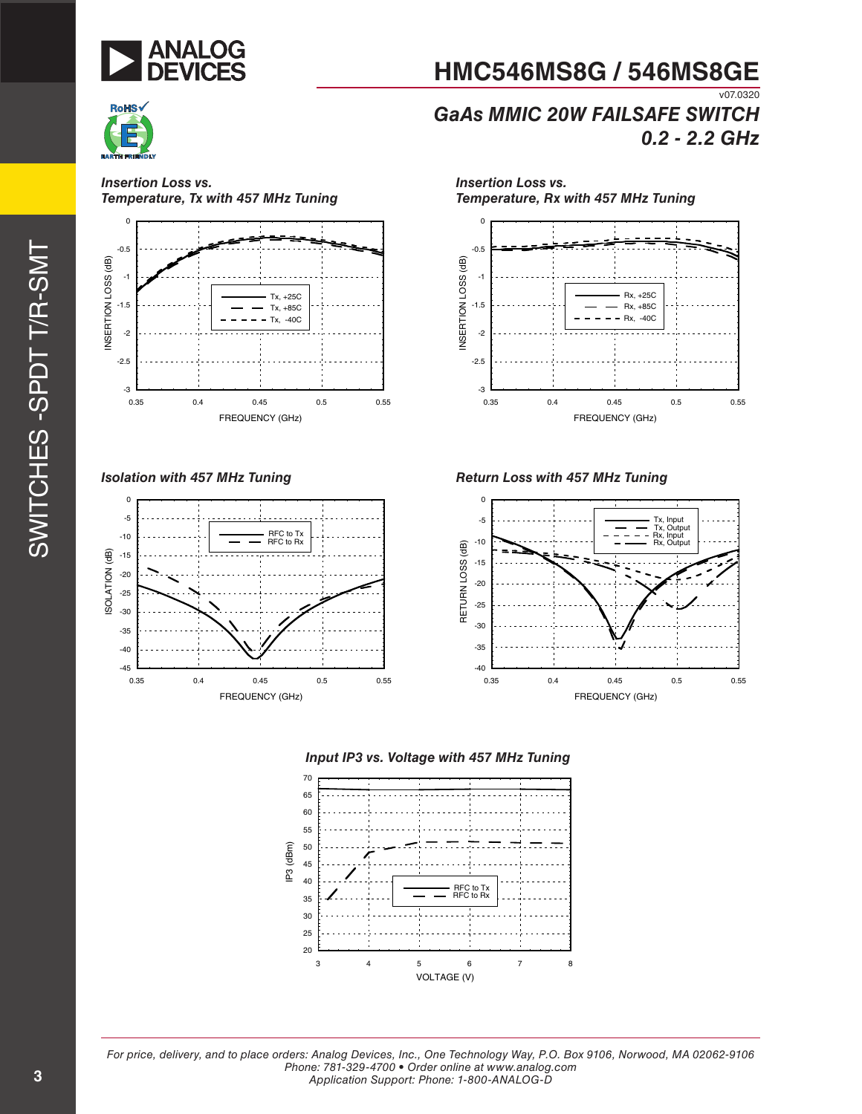



#### *Insertion Loss vs. Temperature, Tx with 457 MHz Tuning*



*Isolation with 457 MHz Tuning*



*Insertion Loss vs. Temperature, Rx with 457 MHz Tuning*0 -0.5 NSERTION LOSS (dB) INSERTION LOSS (dB) -1 Rx, +25C -1.5 Rx, +85C  $- Rx, -40C$ 



*Return Loss with 457 MHz Tuning*







*For price, delivery, and to place orders: Analog Devices, Inc., One Technology Way, P.O. Box 9106, Norwood, MA 02062-9106 Phone: 781-329-4700 • Order online at www.analog.com Application Support: Phone: 1-800-ANALOG-D*

**HMC546MS8G / 546MS8GE**

v07.0320 *GaAs MMIC 20W FAILSAFE SWITCH*

*0.2 - 2.2 GHz*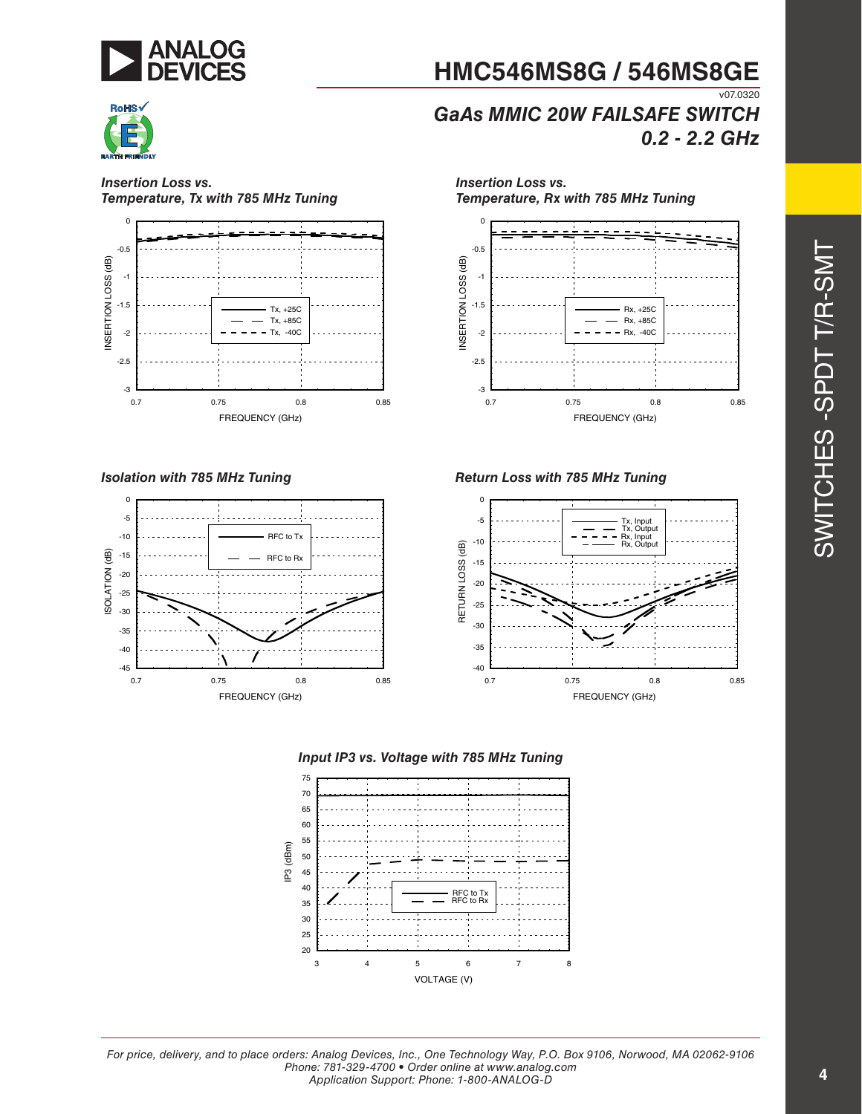



*GaAs MMIC 20W FAILSAFE SWITCH 0.2 - 2.2 GHz*





*Isolation with 785 MHz Tuning*



0 *Insertion Loss vs. Temperature, Rx with 785 MHz Tuning*



*Return Loss with 785 MHz Tuning*





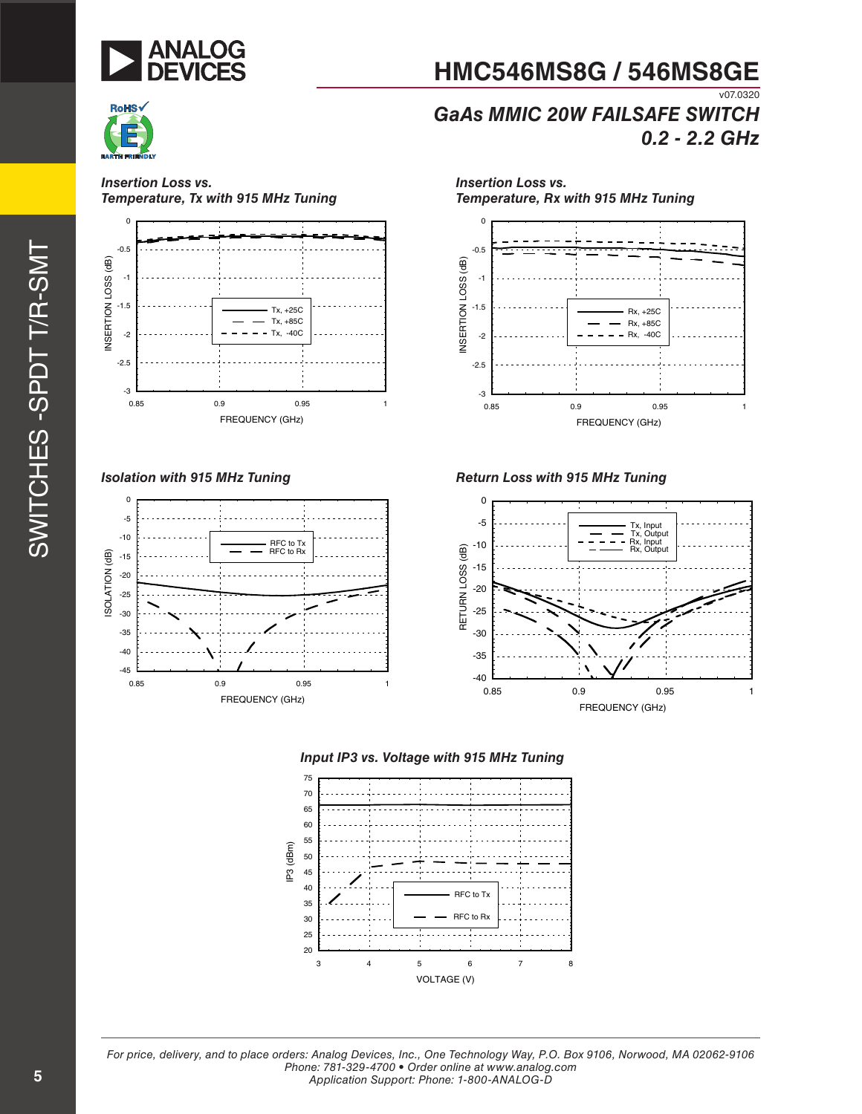



*Insertion Loss vs.* 

# **HMC546MS8G / 546MS8GE**

v07.0320 *GaAs MMIC 20W FAILSAFE SWITCH 0.2 - 2.2 GHz*



*Isolation with 915 MHz Tuning*



*Temperature, Rx with 915 MHz Tuning* 0 -0.5 NSERTION LOSS (dB) INSERTION LOSS (dB) -1 -1.5 Rx, +25C Rx, +85C  $-$  - Rx, -40C -2 -2.5

*Insertion Loss vs.* 



#### *Return Loss with 915 MHz Tuning*





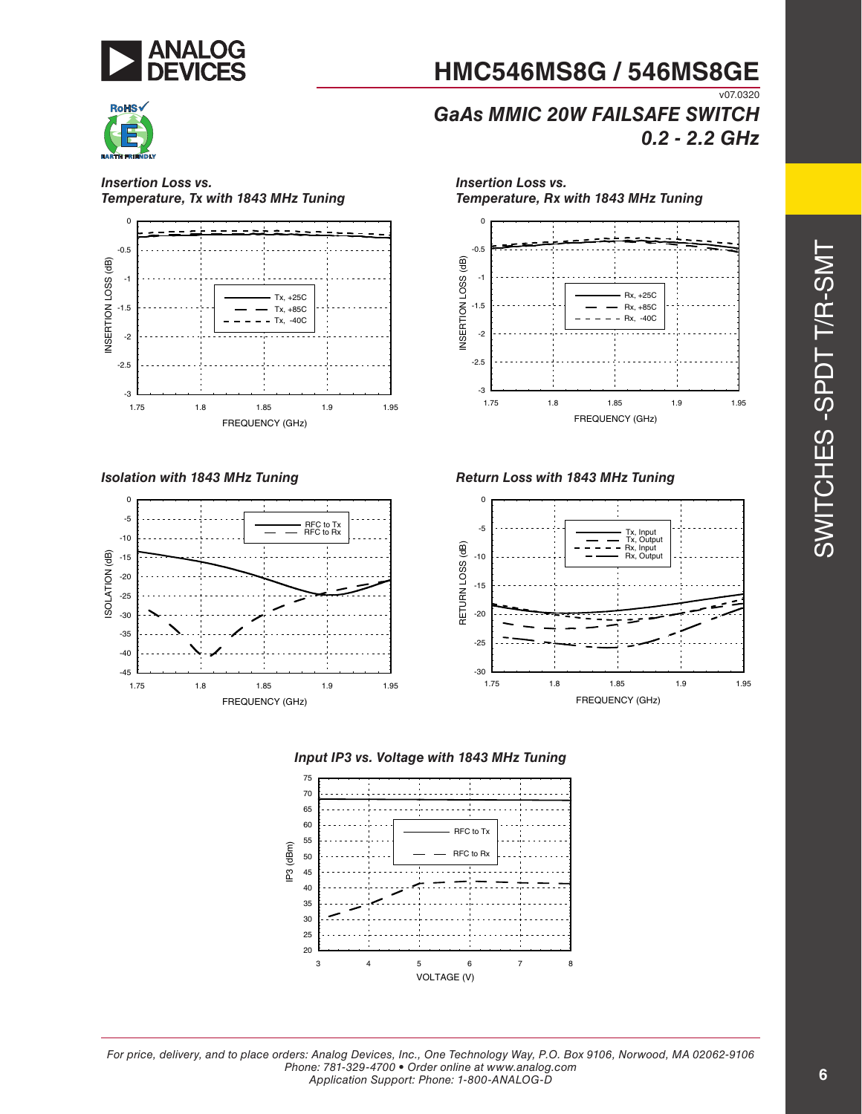



*GaAs MMIC 20W FAILSAFE SWITCH 0.2 - 2.2 GHz*

*Insertion Loss vs.* 



*Insertion Loss vs. Temperature, Tx with 1843 MHz Tuning*



*Isolation with 1843 MHz Tuning*



*Temperature, Rx with 1843 MHz Tuning* 0 -0.5 NSERTION LOSS (dB) INSERTION LOSS (dB) -1 Rx, +25C -1.5 Rx, +85C ÷ Rx, -40C -2



*Return Loss with 1843 MHz Tuning*







*For price, delivery, and to place orders: Analog Devices, Inc., One Technology Way, P.O. Box 9106, Norwood, MA 02062-9106 Phone: 781-329-4700 • Order online at www.analog.com Application Support: Phone: 1-800-ANALOG-D*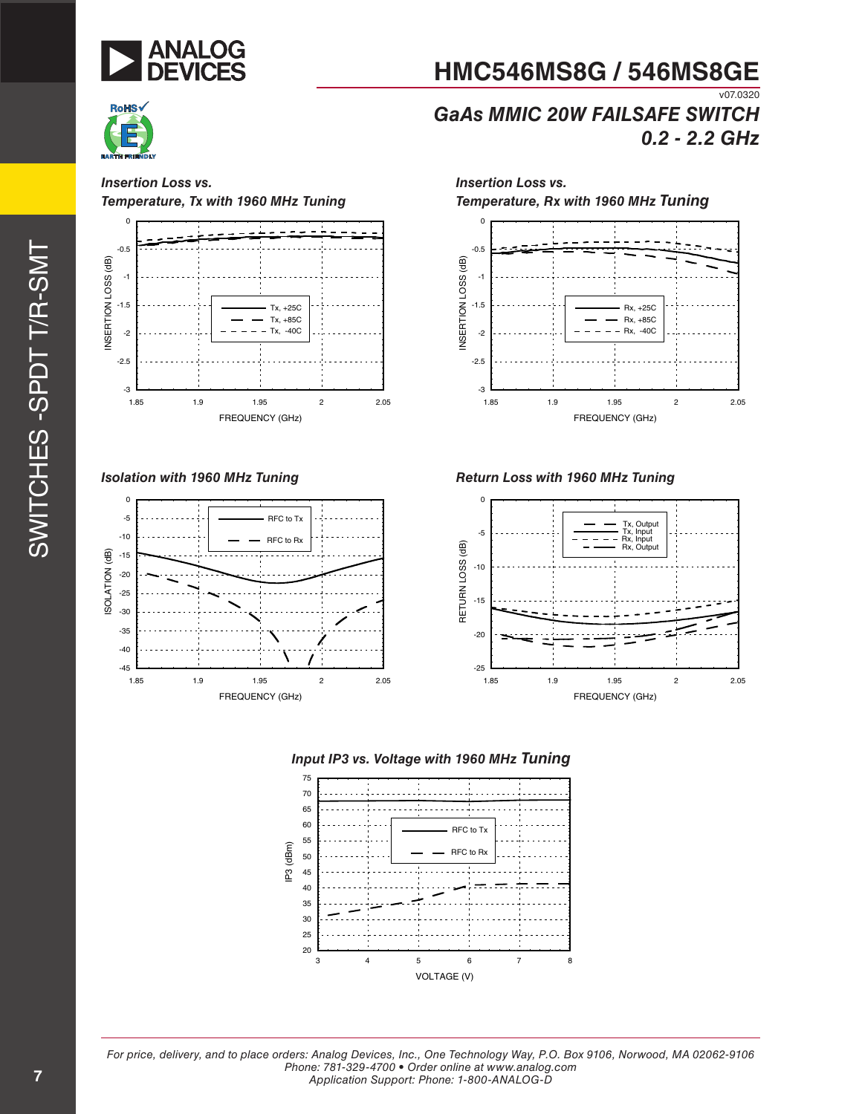



*GaAs MMIC 20W FAILSAFE SWITCH 0.2 - 2.2 GHz*

*Insertion Loss vs.* 

v07.0320

*Insertion Loss vs. Temperature, Tx with 1960 MHz Tuning*



*Isolation with 1960 MHz Tuning*



*Temperature, Rx with 1960 MHz Tuning* 0 -0.5 NSERTION LOSS (dB) INSERTION LOSS (dB) -1 -1.5 Rx, +25C Rx, +85C  $- Rx, -40C$ -2 -2.5 -3 1.85 1.9 1.95 2 2.05 FREQUENCY (GHz)

*Return Loss with 1960 MHz Tuning*





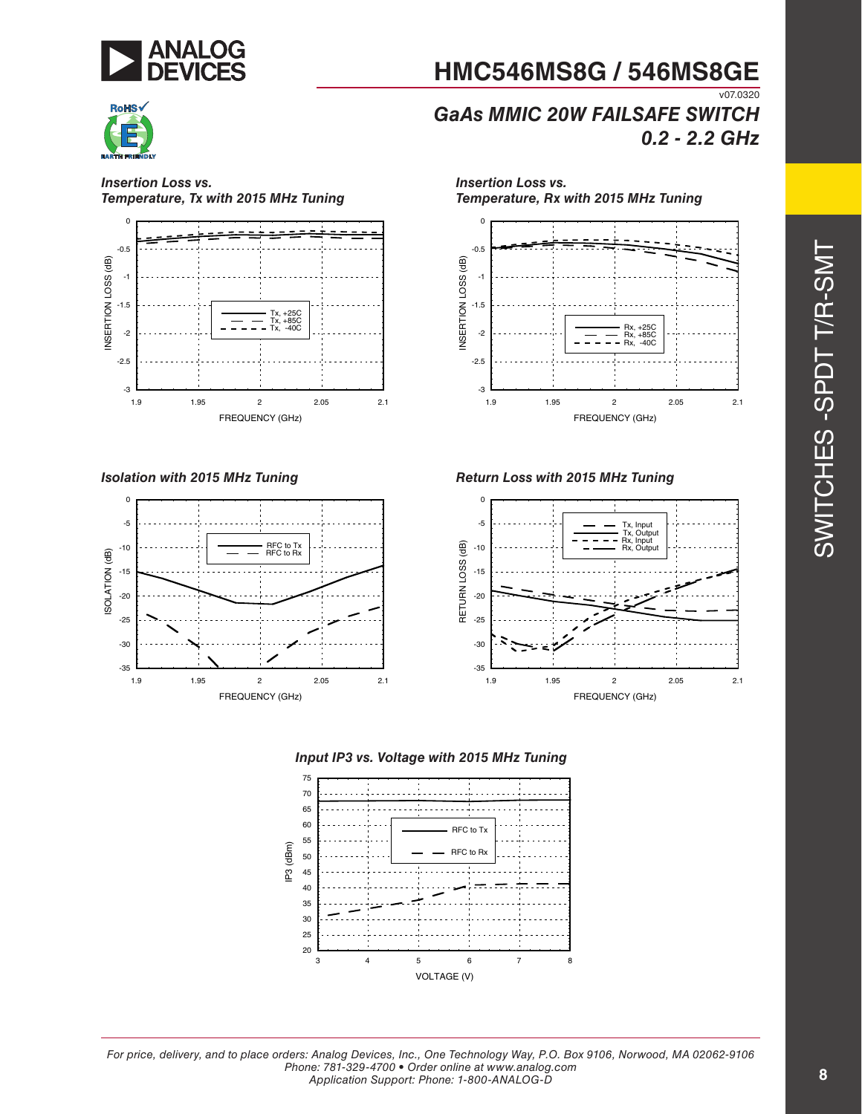



**HMC546MS8G / 546MS8GE** v07.0320

*GaAs MMIC 20W FAILSAFE SWITCH 0.2 - 2.2 GHz*

*Insertion Loss vs.* 

*Insertion Loss vs. Temperature, Tx with 2015 MHz Tuning*



*Isolation with 2015 MHz Tuning*



*Temperature, Rx with 2015 MHz Tuning* 0 -0.5 NSERTION LOSS (dB) INSERTION LOSS (dB) -1 -1.5 Rx,<br>Rx,<br>Rx, -2 Rx, +85C Rx, -40C -2.5 -3



*Return Loss with 2015 MHz Tuning*





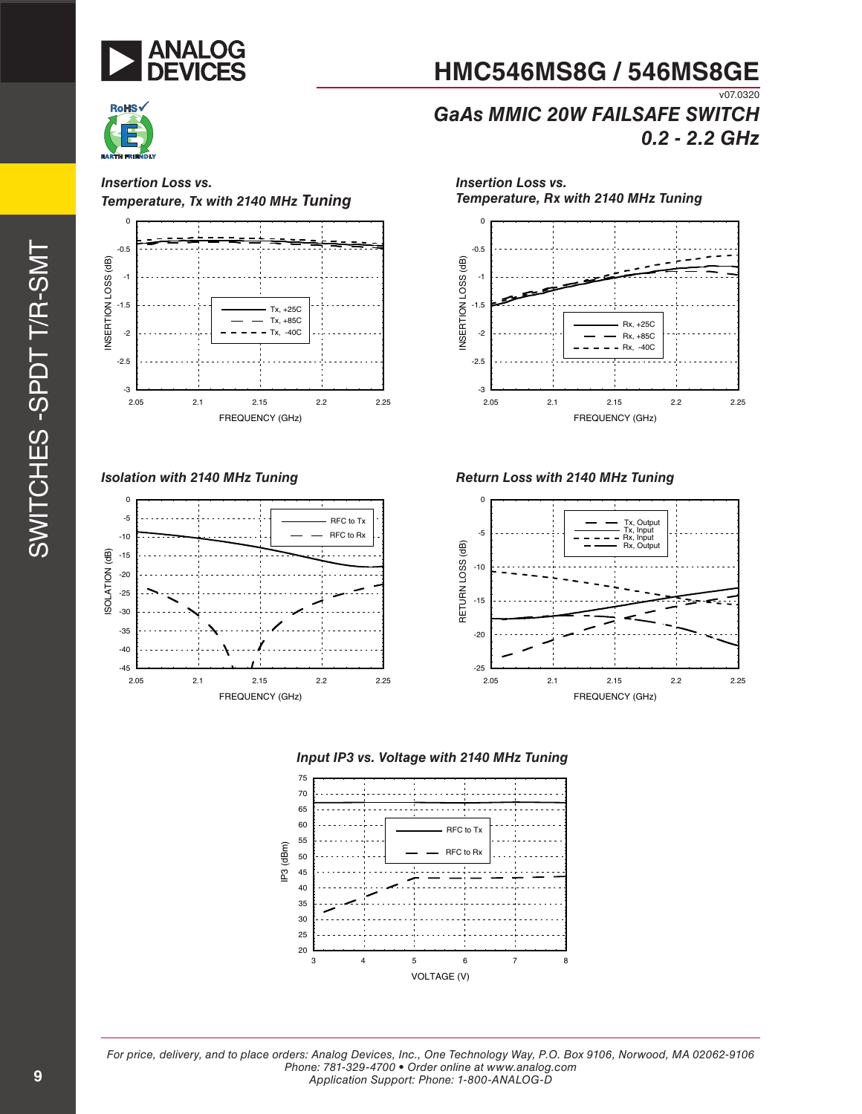



v07.0320

### *GaAs MMIC 20W FAILSAFE SWITCH 0.2 - 2.2 GHz*

*Insertion Loss vs.* 

-3

*Insertion Loss vs. Temperature, Tx with 2140 MHz Tuning*



*Isolation with 2140 MHz Tuning*



*Temperature, Rx with 2140 MHz Tuning* 0 -0.5 NSERTION LOSS (dB) INSERTION LOSS (dB) -1 -1.5 Rx, +25C -2 Rx, +85C  $- Rx$ ,  $-40C$ -2.5

2.05 2.1 2.15 2.2 2.25

FREQUENCY (GHz)







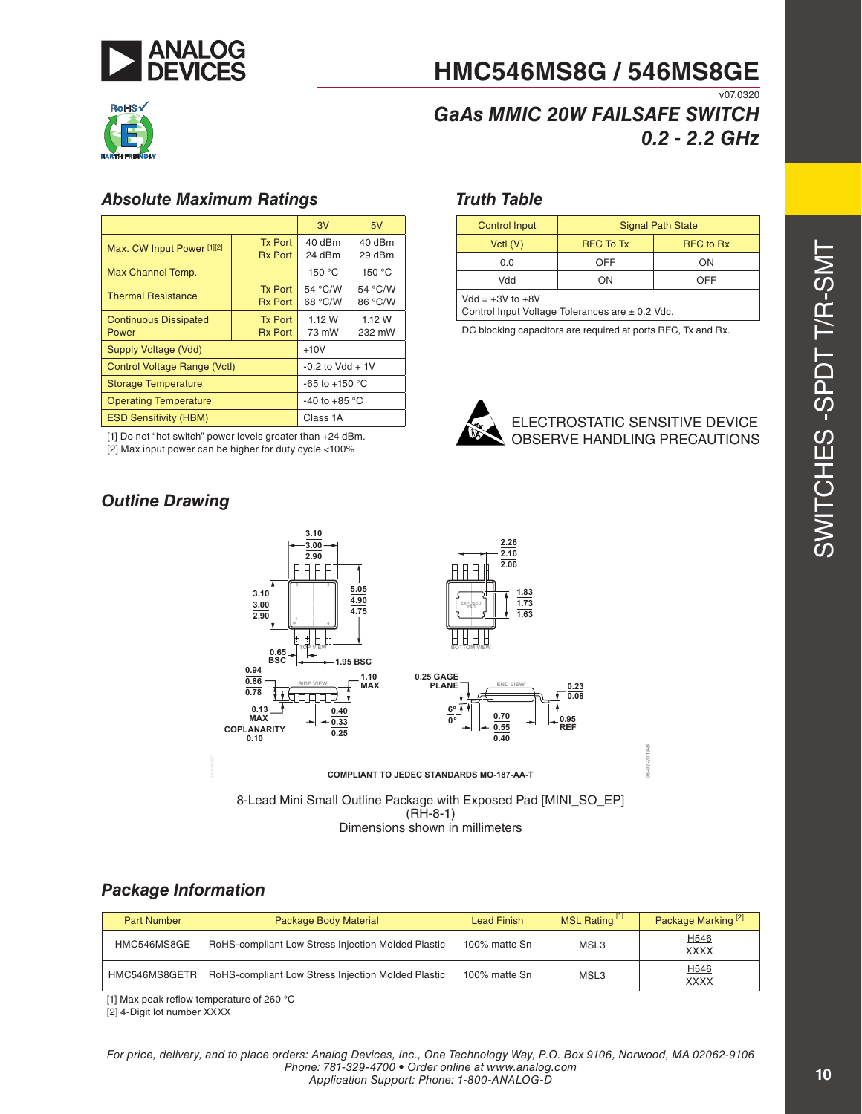

## *GaAs MMIC 20W FAILSAFE SWITCH 0.2 - 2.2 GHz*

#### *Absolute Maximum Ratings*

|                                                                | 3V                               | 5V                 |                    |  |
|----------------------------------------------------------------|----------------------------------|--------------------|--------------------|--|
| <b>Tx Port</b><br>Max. CW Input Power [1][2]<br><b>Rx Port</b> |                                  | 40 dBm<br>24 dBm   | 40 dBm<br>29 dBm   |  |
| Max Channel Temp.                                              |                                  | 150 °C             | 150 °C             |  |
| <b>Thermal Resistance</b>                                      | <b>Tx Port</b><br><b>Rx Port</b> | 54 °C/W<br>68 °C/W | 54 °C/W<br>86 °C/W |  |
| <b>Continuous Dissipated</b><br>Power                          | 1.12 W<br>73 mW                  | 1.12 W<br>232 mW   |                    |  |
| Supply Voltage (Vdd)                                           | $+10V$                           |                    |                    |  |
| <b>Control Voltage Range (Vctl)</b>                            | $-0.2$ to Vdd $+1V$              |                    |                    |  |
| <b>Storage Temperature</b>                                     | $-65$ to $+150$ °C               |                    |                    |  |
| <b>Operating Temperature</b>                                   | -40 to +85 $^{\circ}$ C          |                    |                    |  |
| <b>ESD Sensitivity (HBM)</b>                                   | Class 1A                         |                    |                    |  |

[1] Do not "hot switch" power levels greater than +24 dBm.

[2] Max input power can be higher for duty cycle <100%

#### *Truth Table*

| <b>Control Input</b>                                                    | <b>Signal Path State</b> |                  |  |  |  |
|-------------------------------------------------------------------------|--------------------------|------------------|--|--|--|
| Vctl $(V)$                                                              | <b>RFC To Tx</b>         | <b>RFC</b> to Rx |  |  |  |
| 0.0                                                                     | <b>OFF</b>               | ON               |  |  |  |
| Vdd                                                                     | ON                       | OFF              |  |  |  |
| $Vdd = +3V$ to $+8V$<br>Control Input Voltage Tolerances are ± 0.2 Vdc. |                          |                  |  |  |  |

DC blocking capacitors are required at ports RFC, Tx and Rx.



**08-02-2019-B**

### *Outline Drawing*



8-Lead Mini Small Outline Package with Exposed Pad [MINI\_SO\_EP] (RH-8-1) Dimensions shown in millimeters

#### *Package Information*

| <b>Part Number</b> | Package Body Material                              | <b>Lead Finish</b> | MSL Rating <sup>[1]</sup> | Package Marking <sup>[2]</sup>  |
|--------------------|----------------------------------------------------|--------------------|---------------------------|---------------------------------|
| HMC546MS8GE        | RoHS-compliant Low Stress Injection Molded Plastic | 100% matte Sn      | MSL3                      | H <sub>546</sub><br><b>XXXX</b> |
| HMC546MS8GETR      | RoHS-compliant Low Stress Injection Molded Plastic | 100% matte Sn      | MSL3                      | H546<br>XXXX                    |

[1] Max peak reflow temperature of 260 °C

[2] 4-Digit lot number XXXX

*For price, delivery, and to place orders: Analog Devices, Inc., One Technology Way, P.O. Box 9106, Norwood, MA 02062-9106 Phone: 781-329-4700 • Order online at www.analog.com Application Support: Phone: 1-800-ANALOG-D*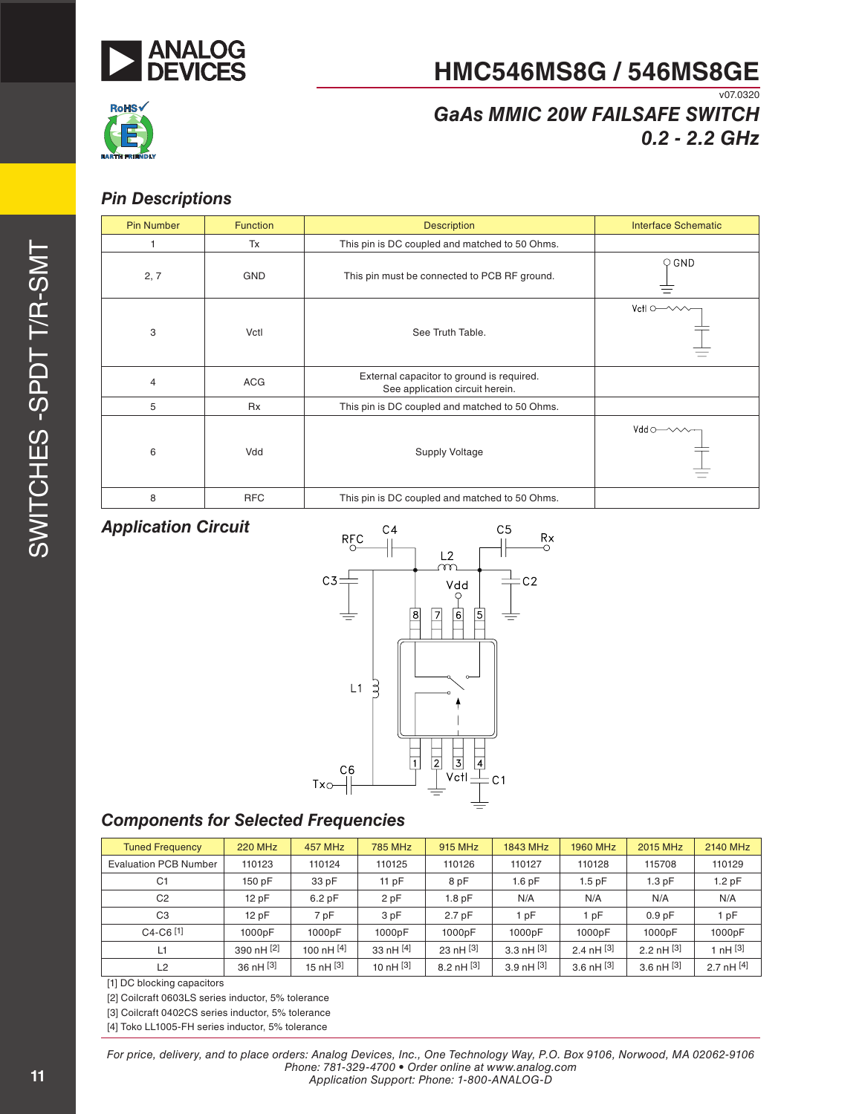



## *GaAs MMIC 20W FAILSAFE SWITCH 0.2 - 2.2 GHz*

#### *Pin Descriptions*

| <b>Pin Number</b> | <b>Function</b> | <b>Description</b>                                                           | <b>Interface Schematic</b>         |
|-------------------|-----------------|------------------------------------------------------------------------------|------------------------------------|
|                   | Tx              | This pin is DC coupled and matched to 50 Ohms.                               |                                    |
| 2, 7              | <b>GND</b>      | This pin must be connected to PCB RF ground.                                 | $\circ$ GND                        |
| 3                 | Vctl            | See Truth Table.                                                             | $Vert \circ \rightarrow \sim \sim$ |
| $\overline{4}$    | <b>ACG</b>      | External capacitor to ground is required.<br>See application circuit herein. |                                    |
| 5                 | <b>Rx</b>       | This pin is DC coupled and matched to 50 Ohms.                               |                                    |
| 6                 | Vdd             | <b>Supply Voltage</b>                                                        | $Vdd \circ \rightarrow \sim \sim$  |
| 8                 | <b>RFC</b>      | This pin is DC coupled and matched to 50 Ohms.                               |                                    |

#### *Application Circuit*



### *Components for Selected Frequencies*

| <b>Tuned Frequency</b>       | <b>220 MHz</b> | <b>457 MHz</b> | <b>785 MHz</b> | 915 MHz              | 1843 MHz          | <b>1960 MHz</b> | 2015 MHz          | 2140 MHz     |
|------------------------------|----------------|----------------|----------------|----------------------|-------------------|-----------------|-------------------|--------------|
| <b>Evaluation PCB Number</b> | 110123         | 110124         | 110125         | 110126               | 110127            | 110128          | 115708            | 110129       |
| C <sub>1</sub>               | 150 pF         | 33 pF          | 11 $pF$        | 8 pF                 | 1.6 <sub>pF</sub> | $1.5$ pF        | 1.3pF             | 1.2pF        |
| C <sub>2</sub>               | 12pF           | 6.2pF          | 2 pF           | 1.8 <sub>pF</sub>    | N/A               | N/A             | N/A               | N/A          |
| C <sub>3</sub>               | 12pF           | 7 pF           | 3 pF           | 2.7 <sub>pF</sub>    | 1 pF              | 1 pF            | 0.9 <sub>pF</sub> | 1 pF         |
| $C4-C6$ <sup>[1]</sup>       | 1000pF         | 1000pF         | 1000pF         | 1000pF               | 1000pF            | 1000pF          | 1000pF            | 1000pF       |
| L1                           | 390 nH [2]     | 100 nH [4]     | 33 $nH[4]$     | 23 nH <sup>[3]</sup> | 3.3 nH $[3]$      | 2.4 $nH$ [3]    | 2.2 nH $[3]$      | 1 nH $[3]$   |
| L2                           | $36$ nH $[3]$  | 15 nH $[3]$    | 10 nH $[3]$    | 8.2 nH $^{[3]}$      | 3.9 nH $^{[3]}$   | 3.6 nH $[3]$    | 3.6 nH $[3]$      | 2.7 nH $[4]$ |

[1] DC blocking capacitors

[2] Coilcraft 0603LS series inductor, 5% tolerance

[3] Coilcraft 0402CS series inductor, 5% tolerance

[4] Toko LL1005-FH series inductor, 5% tolerance